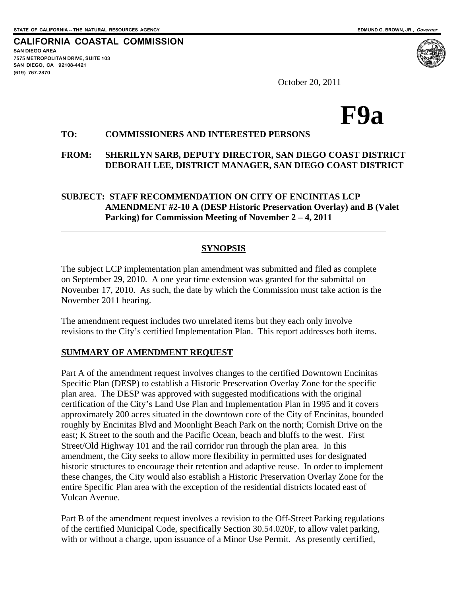**CALIFORNIA COASTAL COMMISSION SAN DIEGO AREA 7575 METROPOLITAN DRIVE, SUITE 103 SAN DIEGO, CA 92108-4421 (619) 767-2370**

 $\overline{a}$ 

October 20, 2011

## **F9a**

### **TO: COMMISSIONERS AND INTERESTED PERSONS**

### **FROM: SHERILYN SARB, DEPUTY DIRECTOR, SAN DIEGO COAST DISTRICT DEBORAH LEE, DISTRICT MANAGER, SAN DIEGO COAST DISTRICT**

### **SUBJECT: STAFF RECOMMENDATION ON CITY OF ENCINITAS LCP AMENDMENT #2-10 A (DESP Historic Preservation Overlay) and B (Valet Parking) for Commission Meeting of November 2 – 4, 2011**

### **SYNOPSIS**

The subject LCP implementation plan amendment was submitted and filed as complete on September 29, 2010. A one year time extension was granted for the submittal on November 17, 2010. As such, the date by which the Commission must take action is the November 2011 hearing.

The amendment request includes two unrelated items but they each only involve revisions to the City's certified Implementation Plan. This report addresses both items.

### **SUMMARY OF AMENDMENT REQUEST**

Part A of the amendment request involves changes to the certified Downtown Encinitas Specific Plan (DESP) to establish a Historic Preservation Overlay Zone for the specific plan area. The DESP was approved with suggested modifications with the original certification of the City's Land Use Plan and Implementation Plan in 1995 and it covers approximately 200 acres situated in the downtown core of the City of Encinitas, bounded roughly by Encinitas Blvd and Moonlight Beach Park on the north; Cornish Drive on the east; K Street to the south and the Pacific Ocean, beach and bluffs to the west. First Street/Old Highway 101 and the rail corridor run through the plan area. In this amendment, the City seeks to allow more flexibility in permitted uses for designated historic structures to encourage their retention and adaptive reuse. In order to implement these changes, the City would also establish a Historic Preservation Overlay Zone for the entire Specific Plan area with the exception of the residential districts located east of Vulcan Avenue.

Part B of the amendment request involves a revision to the Off-Street Parking regulations of the certified Municipal Code, specifically Section 30.54.020F, to allow valet parking, with or without a charge, upon issuance of a Minor Use Permit. As presently certified,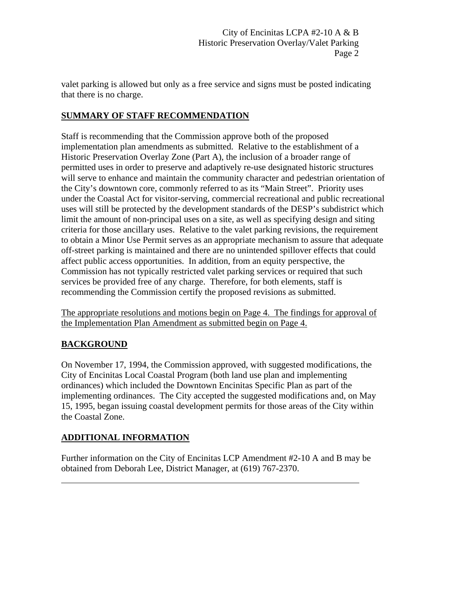valet parking is allowed but only as a free service and signs must be posted indicating that there is no charge.

### **SUMMARY OF STAFF RECOMMENDATION**

Staff is recommending that the Commission approve both of the proposed implementation plan amendments as submitted. Relative to the establishment of a Historic Preservation Overlay Zone (Part A), the inclusion of a broader range of permitted uses in order to preserve and adaptively re-use designated historic structures will serve to enhance and maintain the community character and pedestrian orientation of the City's downtown core, commonly referred to as its "Main Street". Priority uses under the Coastal Act for visitor-serving, commercial recreational and public recreational uses will still be protected by the development standards of the DESP's subdistrict which limit the amount of non-principal uses on a site, as well as specifying design and siting criteria for those ancillary uses. Relative to the valet parking revisions, the requirement to obtain a Minor Use Permit serves as an appropriate mechanism to assure that adequate off-street parking is maintained and there are no unintended spillover effects that could affect public access opportunities. In addition, from an equity perspective, the Commission has not typically restricted valet parking services or required that such services be provided free of any charge. Therefore, for both elements, staff is recommending the Commission certify the proposed revisions as submitted.

The appropriate resolutions and motions begin on Page 4. The findings for approval of the Implementation Plan Amendment as submitted begin on Page 4.

### **BACKGROUND**

 $\overline{a}$ 

On November 17, 1994, the Commission approved, with suggested modifications, the City of Encinitas Local Coastal Program (both land use plan and implementing ordinances) which included the Downtown Encinitas Specific Plan as part of the implementing ordinances. The City accepted the suggested modifications and, on May 15, 1995, began issuing coastal development permits for those areas of the City within the Coastal Zone.

### **ADDITIONAL INFORMATION**

Further information on the City of Encinitas LCP Amendment #2-10 A and B may be obtained from Deborah Lee, District Manager, at (619) 767-2370.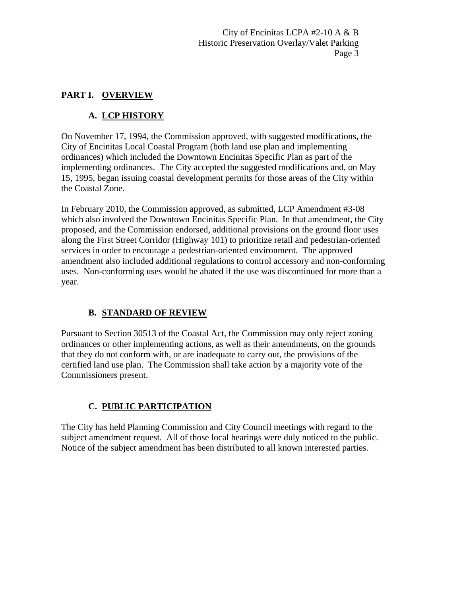### **PART I. OVERVIEW**

### **A. LCP HISTORY**

On November 17, 1994, the Commission approved, with suggested modifications, the City of Encinitas Local Coastal Program (both land use plan and implementing ordinances) which included the Downtown Encinitas Specific Plan as part of the implementing ordinances. The City accepted the suggested modifications and, on May 15, 1995, began issuing coastal development permits for those areas of the City within the Coastal Zone.

In February 2010, the Commission approved, as submitted, LCP Amendment #3-08 which also involved the Downtown Encinitas Specific Plan. In that amendment, the City proposed, and the Commission endorsed, additional provisions on the ground floor uses along the First Street Corridor (Highway 101) to prioritize retail and pedestrian-oriented services in order to encourage a pedestrian-oriented environment. The approved amendment also included additional regulations to control accessory and non-conforming uses. Non-conforming uses would be abated if the use was discontinued for more than a year.

### **B. STANDARD OF REVIEW**

Pursuant to Section 30513 of the Coastal Act, the Commission may only reject zoning ordinances or other implementing actions, as well as their amendments, on the grounds that they do not conform with, or are inadequate to carry out, the provisions of the certified land use plan. The Commission shall take action by a majority vote of the Commissioners present.

### **C. PUBLIC PARTICIPATION**

The City has held Planning Commission and City Council meetings with regard to the subject amendment request. All of those local hearings were duly noticed to the public. Notice of the subject amendment has been distributed to all known interested parties.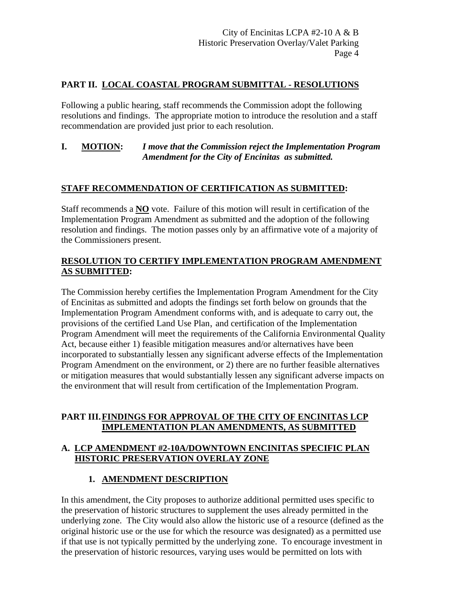### **PART II. LOCAL COASTAL PROGRAM SUBMITTAL - RESOLUTIONS**

Following a public hearing, staff recommends the Commission adopt the following resolutions and findings. The appropriate motion to introduce the resolution and a staff recommendation are provided just prior to each resolution.

### **I. MOTION:** *I move that the Commission reject the Implementation Program Amendment for the City of Encinitas as submitted.*

### **STAFF RECOMMENDATION OF CERTIFICATION AS SUBMITTED:**

Staff recommends a **NO** vote. Failure of this motion will result in certification of the Implementation Program Amendment as submitted and the adoption of the following resolution and findings. The motion passes only by an affirmative vote of a majority of the Commissioners present.

### **RESOLUTION TO CERTIFY IMPLEMENTATION PROGRAM AMENDMENT AS SUBMITTED:**

The Commission hereby certifies the Implementation Program Amendment for the City of Encinitas as submitted and adopts the findings set forth below on grounds that the Implementation Program Amendment conforms with, and is adequate to carry out, the provisions of the certified Land Use Plan, and certification of the Implementation Program Amendment will meet the requirements of the California Environmental Quality Act, because either 1) feasible mitigation measures and/or alternatives have been incorporated to substantially lessen any significant adverse effects of the Implementation Program Amendment on the environment, or 2) there are no further feasible alternatives or mitigation measures that would substantially lessen any significant adverse impacts on the environment that will result from certification of the Implementation Program.

### **PART III. FINDINGS FOR APPROVAL OF THE CITY OF ENCINITAS LCP IMPLEMENTATION PLAN AMENDMENTS, AS SUBMITTED**

### **A. LCP AMENDMENT #2-10A/DOWNTOWN ENCINITAS SPECIFIC PLAN HISTORIC PRESERVATION OVERLAY ZONE**

### **1. AMENDMENT DESCRIPTION**

In this amendment, the City proposes to authorize additional permitted uses specific to the preservation of historic structures to supplement the uses already permitted in the underlying zone. The City would also allow the historic use of a resource (defined as the original historic use or the use for which the resource was designated) as a permitted use if that use is not typically permitted by the underlying zone. To encourage investment in the preservation of historic resources, varying uses would be permitted on lots with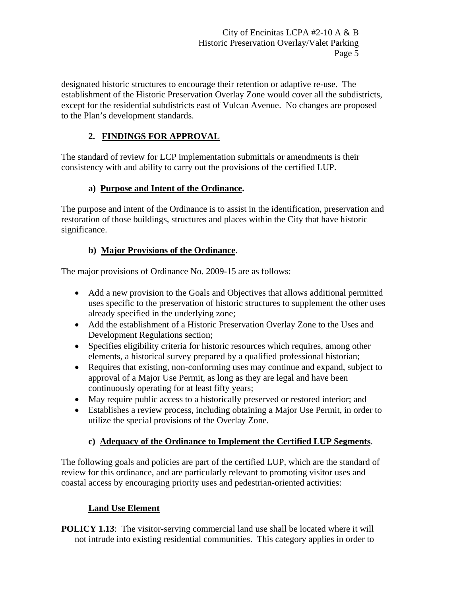designated historic structures to encourage their retention or adaptive re-use. The establishment of the Historic Preservation Overlay Zone would cover all the subdistricts, except for the residential subdistricts east of Vulcan Avenue. No changes are proposed to the Plan's development standards.

### **2. FINDINGS FOR APPROVAL**

The standard of review for LCP implementation submittals or amendments is their consistency with and ability to carry out the provisions of the certified LUP.

### **a) Purpose and Intent of the Ordinance.**

The purpose and intent of the Ordinance is to assist in the identification, preservation and restoration of those buildings, structures and places within the City that have historic significance.

### **b) Major Provisions of the Ordinance**.

The major provisions of Ordinance No. 2009-15 are as follows:

- Add a new provision to the Goals and Objectives that allows additional permitted uses specific to the preservation of historic structures to supplement the other uses already specified in the underlying zone;
- Add the establishment of a Historic Preservation Overlay Zone to the Uses and Development Regulations section;
- Specifies eligibility criteria for historic resources which requires, among other elements, a historical survey prepared by a qualified professional historian;
- Requires that existing, non-conforming uses may continue and expand, subject to approval of a Major Use Permit, as long as they are legal and have been continuously operating for at least fifty years;
- May require public access to a historically preserved or restored interior; and
- Establishes a review process, including obtaining a Major Use Permit, in order to utilize the special provisions of the Overlay Zone.

### **c) Adequacy of the Ordinance to Implement the Certified LUP Segments**.

The following goals and policies are part of the certified LUP, which are the standard of review for this ordinance, and are particularly relevant to promoting visitor uses and coastal access by encouraging priority uses and pedestrian-oriented activities:

### **Land Use Element**

**POLICY 1.13**: The visitor-serving commercial land use shall be located where it will not intrude into existing residential communities. This category applies in order to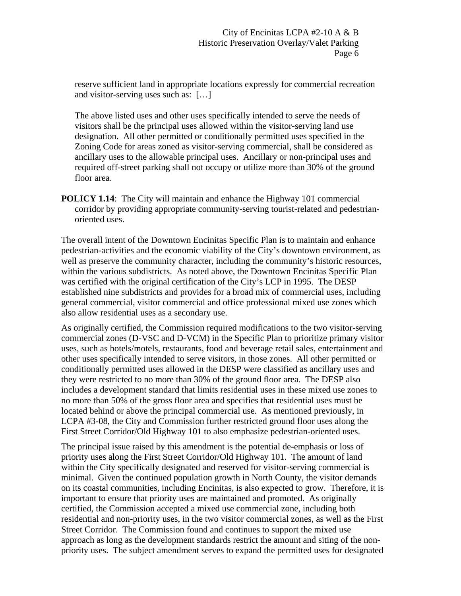reserve sufficient land in appropriate locations expressly for commercial recreation and visitor-serving uses such as: […]

The above listed uses and other uses specifically intended to serve the needs of visitors shall be the principal uses allowed within the visitor-serving land use designation. All other permitted or conditionally permitted uses specified in the Zoning Code for areas zoned as visitor-serving commercial, shall be considered as ancillary uses to the allowable principal uses. Ancillary or non-principal uses and required off-street parking shall not occupy or utilize more than 30% of the ground floor area.

**POLICY 1.14**: The City will maintain and enhance the Highway 101 commercial corridor by providing appropriate community-serving tourist-related and pedestrianoriented uses.

The overall intent of the Downtown Encinitas Specific Plan is to maintain and enhance pedestrian-activities and the economic viability of the City's downtown environment, as well as preserve the community character, including the community's historic resources, within the various subdistricts. As noted above, the Downtown Encinitas Specific Plan was certified with the original certification of the City's LCP in 1995. The DESP established nine subdistricts and provides for a broad mix of commercial uses, including general commercial, visitor commercial and office professional mixed use zones which also allow residential uses as a secondary use.

As originally certified, the Commission required modifications to the two visitor-serving commercial zones (D-VSC and D-VCM) in the Specific Plan to prioritize primary visitor uses, such as hotels/motels, restaurants, food and beverage retail sales, entertainment and other uses specifically intended to serve visitors, in those zones. All other permitted or conditionally permitted uses allowed in the DESP were classified as ancillary uses and they were restricted to no more than 30% of the ground floor area. The DESP also includes a development standard that limits residential uses in these mixed use zones to no more than 50% of the gross floor area and specifies that residential uses must be located behind or above the principal commercial use. As mentioned previously, in LCPA #3-08, the City and Commission further restricted ground floor uses along the First Street Corridor/Old Highway 101 to also emphasize pedestrian-oriented uses.

The principal issue raised by this amendment is the potential de-emphasis or loss of priority uses along the First Street Corridor/Old Highway 101. The amount of land within the City specifically designated and reserved for visitor-serving commercial is minimal. Given the continued population growth in North County, the visitor demands on its coastal communities, including Encinitas, is also expected to grow. Therefore, it is important to ensure that priority uses are maintained and promoted. As originally certified, the Commission accepted a mixed use commercial zone, including both residential and non-priority uses, in the two visitor commercial zones, as well as the First Street Corridor. The Commission found and continues to support the mixed use approach as long as the development standards restrict the amount and siting of the nonpriority uses. The subject amendment serves to expand the permitted uses for designated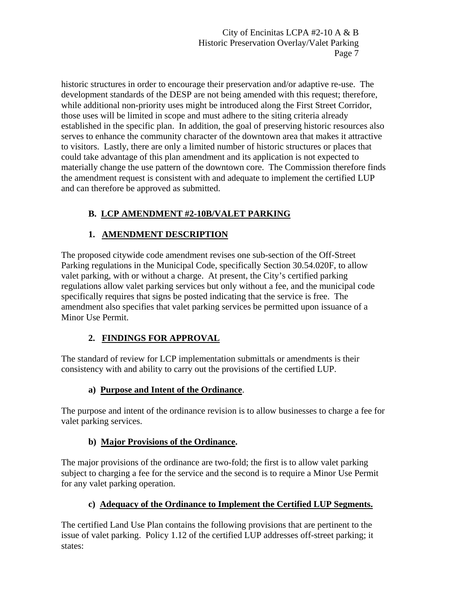historic structures in order to encourage their preservation and/or adaptive re-use. The development standards of the DESP are not being amended with this request; therefore, while additional non-priority uses might be introduced along the First Street Corridor, those uses will be limited in scope and must adhere to the siting criteria already established in the specific plan. In addition, the goal of preserving historic resources also serves to enhance the community character of the downtown area that makes it attractive to visitors. Lastly, there are only a limited number of historic structures or places that could take advantage of this plan amendment and its application is not expected to materially change the use pattern of the downtown core. The Commission therefore finds the amendment request is consistent with and adequate to implement the certified LUP and can therefore be approved as submitted.

### **B. LCP AMENDMENT #2-10B/VALET PARKING**

### **1. AMENDMENT DESCRIPTION**

The proposed citywide code amendment revises one sub-section of the Off-Street Parking regulations in the Municipal Code, specifically Section 30.54.020F, to allow valet parking, with or without a charge. At present, the City's certified parking regulations allow valet parking services but only without a fee, and the municipal code specifically requires that signs be posted indicating that the service is free. The amendment also specifies that valet parking services be permitted upon issuance of a Minor Use Permit.

### **2. FINDINGS FOR APPROVAL**

The standard of review for LCP implementation submittals or amendments is their consistency with and ability to carry out the provisions of the certified LUP.

### **a) Purpose and Intent of the Ordinance**.

The purpose and intent of the ordinance revision is to allow businesses to charge a fee for valet parking services.

### **b) Major Provisions of the Ordinance.**

The major provisions of the ordinance are two-fold; the first is to allow valet parking subject to charging a fee for the service and the second is to require a Minor Use Permit for any valet parking operation.

### **c) Adequacy of the Ordinance to Implement the Certified LUP Segments.**

The certified Land Use Plan contains the following provisions that are pertinent to the issue of valet parking. Policy 1.12 of the certified LUP addresses off-street parking; it states: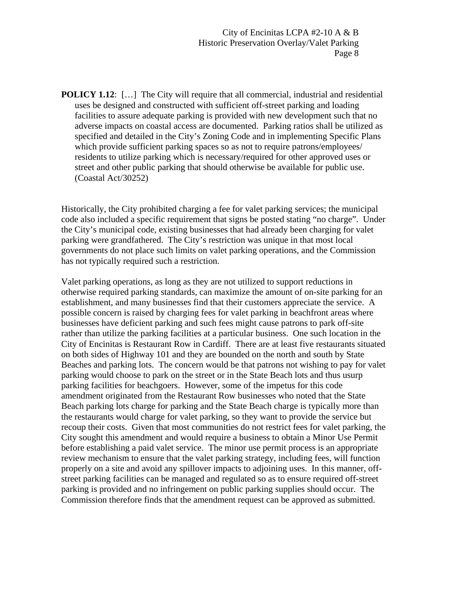**POLICY 1.12:** [...] The City will require that all commercial, industrial and residential uses be designed and constructed with sufficient off-street parking and loading facilities to assure adequate parking is provided with new development such that no adverse impacts on coastal access are documented. Parking ratios shall be utilized as specified and detailed in the City's Zoning Code and in implementing Specific Plans which provide sufficient parking spaces so as not to require patrons/employees/ residents to utilize parking which is necessary/required for other approved uses or street and other public parking that should otherwise be available for public use. (Coastal Act/30252)

Historically, the City prohibited charging a fee for valet parking services; the municipal code also included a specific requirement that signs be posted stating "no charge". Under the City's municipal code, existing businesses that had already been charging for valet parking were grandfathered. The City's restriction was unique in that most local governments do not place such limits on valet parking operations, and the Commission has not typically required such a restriction.

Valet parking operations, as long as they are not utilized to support reductions in otherwise required parking standards, can maximize the amount of on-site parking for an establishment, and many businesses find that their customers appreciate the service. A possible concern is raised by charging fees for valet parking in beachfront areas where businesses have deficient parking and such fees might cause patrons to park off-site rather than utilize the parking facilities at a particular business. One such location in the City of Encinitas is Restaurant Row in Cardiff. There are at least five restaurants situated on both sides of Highway 101 and they are bounded on the north and south by State Beaches and parking lots. The concern would be that patrons not wishing to pay for valet parking would choose to park on the street or in the State Beach lots and thus usurp parking facilities for beachgoers. However, some of the impetus for this code amendment originated from the Restaurant Row businesses who noted that the State Beach parking lots charge for parking and the State Beach charge is typically more than the restaurants would charge for valet parking, so they want to provide the service but recoup their costs. Given that most communities do not restrict fees for valet parking, the City sought this amendment and would require a business to obtain a Minor Use Permit before establishing a paid valet service. The minor use permit process is an appropriate review mechanism to ensure that the valet parking strategy, including fees, will function properly on a site and avoid any spillover impacts to adjoining uses. In this manner, offstreet parking facilities can be managed and regulated so as to ensure required off-street parking is provided and no infringement on public parking supplies should occur. The Commission therefore finds that the amendment request can be approved as submitted.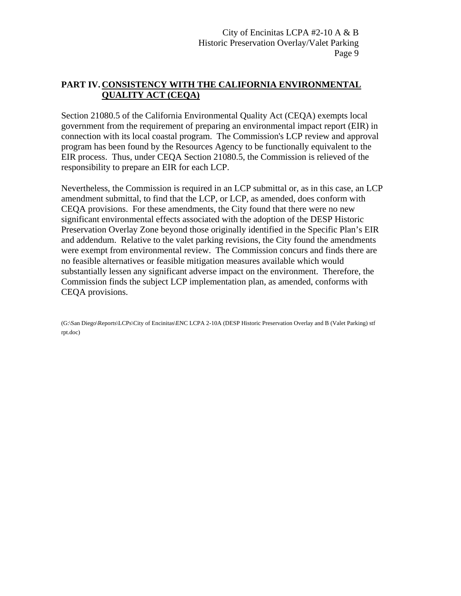### **PART IV. CONSISTENCY WITH THE CALIFORNIA ENVIRONMENTAL QUALITY ACT (CEQA)**

Section 21080.5 of the California Environmental Quality Act (CEQA) exempts local government from the requirement of preparing an environmental impact report (EIR) in connection with its local coastal program. The Commission's LCP review and approval program has been found by the Resources Agency to be functionally equivalent to the EIR process. Thus, under CEQA Section 21080.5, the Commission is relieved of the responsibility to prepare an EIR for each LCP.

Nevertheless, the Commission is required in an LCP submittal or, as in this case, an LCP amendment submittal, to find that the LCP, or LCP, as amended, does conform with CEQA provisions. For these amendments, the City found that there were no new significant environmental effects associated with the adoption of the DESP Historic Preservation Overlay Zone beyond those originally identified in the Specific Plan's EIR and addendum. Relative to the valet parking revisions, the City found the amendments were exempt from environmental review. The Commission concurs and finds there are no feasible alternatives or feasible mitigation measures available which would substantially lessen any significant adverse impact on the environment. Therefore, the Commission finds the subject LCP implementation plan, as amended, conforms with CEQA provisions.

(G:\San Diego\Reports\LCPs\City of Encinitas\ENC LCPA 2-10A (DESP Historic Preservation Overlay and B (Valet Parking) stf rpt.doc)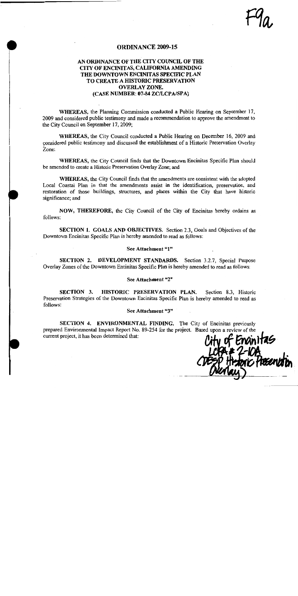### **ORDINANCE 2009-15**

### AN ORDINANCE OF THE CITY COUNCIL OF THE CITY OF ENCINITAS, CALIFORNIA AMENDING THE DOWNTOWN ENCINITAS SPECIFIC PLAN TO CREATE A HISTORIC PRESERVATION **OVERLAY ZONE.** (CASE NUMBER: 07-84 ZC/LCPA/SPA)

**WHEREAS**, the Planning Commission conducted a Public Hearing on September 17, 2009 and considered public testimony and made a recommendation to approve the amendment to the City Council on September 17, 2009;

WHEREAS, the City Council conducted a Public Hearing on December 16, 2009 and considered public testimony and discussed the establishment of a Historic Preservation Overlay Zone:

WHEREAS, the City Council finds that the Downtown Encinitas Specific Plan should be amended to create a Historic Preservation Overlay Zone; and

WHEREAS, the City Council finds that the amendments are consistent with the adopted Local Coastal Plan in that the amendments assist in the identification, preservation, and restoration of those buildings, structures, and places within the City that have historic significance; and

NOW, THEREFORE, the City Council of the City of Encinitas hereby ordains as follows:

**SECTION 1. GOALS AND OBJECTIVES.** Section 2.3, Goals and Objectives of the Downtown Encinitas Specific Plan is hereby amended to read as follows:

### See Attachment "1"

SECTION 2. DEVELOPMENT STANDARDS. Section 3.2.7, Special Purpose Overlay Zones of the Downtown Encinitas Specific Plan is hereby amended to read as follows:

### See Attachment "2"

SECTION 3. HISTORIC PRESERVATION PLAN. Section 8.3, Historic Preservation Strategies of the Downtown Encinitas Specific Plan is hereby amended to read as follows:

### See Attachment "3"

**SECTION 4. ENVIRONMENTAL FINDING.** The City of Encinitas previously prepared Environmental Impact Report No. 89-254 for the project. Based upon a review of the current project, it has been determined that:

**176**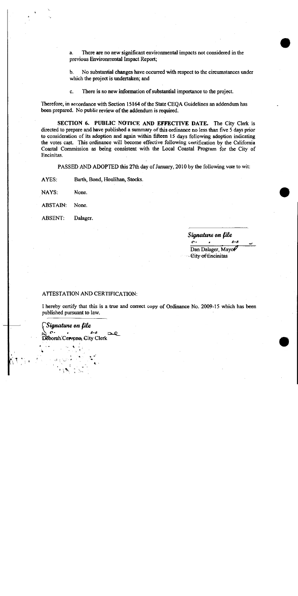There are no new significant environmental impacts not considered in the  $\mathbf{a}$ previous Environmental Impact Report;

No substantial changes have occurred with respect to the circumstances under b. which the project is undertaken; and

There is no new information of substantial importance to the project. c.

Therefore, in accordance with Section 15164 of the State CEQA Guidelines an addendum has been prepared. No public review of the addendum is required.

SECTION 6. PUBLIC NOTICE AND EFFECTIVE DATE. The City Clerk is directed to prepare and have published a summary of this ordinance no less than five 5 days prior to consideration of its adoption and again within fifteen 15 days following adoption indicating the votes cast. This ordinance will become effective following certification by the California Coastal Commission as being consistent with the Local Coastal Program for the City of Encinitas.

PASSED AND ADOPTED this 27th day of January, 2010 by the following vote to wit:

AYES: Barth, Bond, Houlihan, Stocks.

NAYS: None.

**ABSTAIN:** None.

Dalager. **ABSENT:** 

> Signature on file  $0 - 0$ Dan Dalager, Mayor

City of Encinitas

### ATTESTATION AND CERTIFICATION:

I hereby certify that this is a true and correct copy of Ordinance No. 2009-15 which has been published pursuant to law.

Signature on file Deborah Cervone, City Clerk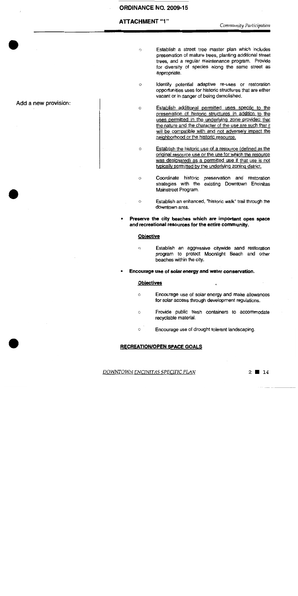### ORDINANCE NO. 2009-15

### **ATTACHMENT "1"**

 $\circ$ 

 $\circ$ 

 $\circ$ 

Community Participation

Add a new provision:

- Establish a street tree master plan which includes preservation of mature trees, planting additional street trees, and a regular maintenance program. Provide for diversity of species along the same street as appropriate.
- Identify potential adaptive re-uses or restoration  $\circ$ opportunities uses for historic structures that are either vacant or in danger of being demolished.
	- Establish additional permitted uses specific to the preservation of historic structures in addition to the uses permitted in the underlying zone provided that the nature and the character of the use are such that it will be compatible with and not adversely impact the neighborhood or the historic resource.
- Establish the historic use of a resource (defined as the  $\circ$ original resource use or the use for which the resource was designated) as a permitted use if that use is not typically permitted by the underlying zoning district.
	- Coordinate historic preservation and restoration strategies with the existing Downtown Encinitas Mainstreet Program.
- Establish an enhanced, "historic walk" trail through the  $\circ$ downtown area.
- Preserve the city beaches which are important open space and recreational resources for the entire community.

### **Objective**

- $\circ$ Establish an aggressive citywide sand restoration program to protect Moonlight Beach and other beaches within the city.
- Encourage use of solar energy and water conservation.

### **Objectives**

- $\circ$ Encourage use of solar energy and make allowances for solar access through development regulations.
- Provide public trash containers to accommodate  $\circ$ recyclable material.
- Encourage use of drought tolerant landscaping.  $\circ$

### **RECREATION/OPEN SPACE GOALS**

DOWNTOWN ENCINITAS SPECIFIC PLAN

 $2 \blacksquare 14$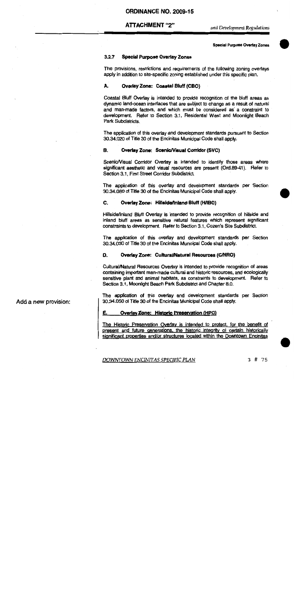### ORDINANCE NO. 2009-15

### **ATTACHMENT "2"**

and Development Regulations

### **Special Purpose Overlay Zones**

#### $3.2.7$ **Special Purpose Overlay Zones**

The provisions, restrictions and requirements of the following zoning overlays apply in addition to site-specific zoning established under this specific plan.

#### A. Overlay Zone: Coastal Bluff (CBO)

Coastal Bluff Overlay is intended to provide recognition of the bluff areas as dynamic land-ocean interfaces that are subject to change as a result of natural and man-made factors, and which must be considered as a constraint to development. Refer to Section 3.1, Residential West and Moonlight Beach Park Subdistricts.

The application of this overlay and development standards pursuant to Section 30.34.020 of Title 30 of the Encinitas Municipal Code shall apply.

#### В. Overlay Zone: Scenic/Visual Corridor (SVC)

Scenic/Visual Corridor Overlay is intended to identify those areas where significant aesthetic and visual resources are present (Ord.89-41). Refer to Section 3.1, First Street Corridor Subdistrict.

The application of this overlay and development standards per Section 30.34.080 of Title 30 of the Encinitas Municipal Code shall apply.

#### C. Overlay Zone: Hillside/Inland Bluff (H/IBO)

Hillside/Inland Bluff Overlay is intended to provide recognition of hillside and inland bluff areas as sensitive natural features which represent significant constraints to development. Refer to Section 3.1, Cozen's Site Subdistrict.

The application of this overlay and development standards per Section 30.34.030 of Title 30 of the Encinitas Municipal Code shall apply.

#### D. Overlay Zone: Cultural/Natural Resources (C/NRO)

Cultural/Natural Resources Overlay is intended to provide recognition of areas containing important man-made cultural and historic resources, and ecologically sensitive plant and animal habitats, as constraints to development. Refer to Section 3.1, Moonlight Beach Park Subdistrict and Chapter 8.0.

The application of this overlay and development standards per Section 30.34.050 of Title 30 of the Encinitas Municipal Code shall apply.

Е. Overlay Zone: Historic Preservation (HPO)

The Historic Preservation Overlay is intended to protect, for the benefit of present and future generations, the historic integrity of certain historically significant properties and/or structures located within the Downtown Encinitas

DOWNTOWN ENCINITAS SPECIFIC PLAN

Add a new provision: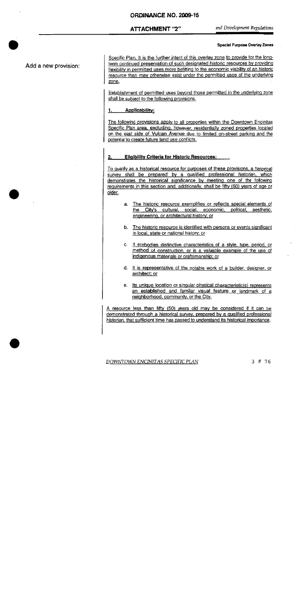### **ATTACHMENT "2"**

ind Development Regulations

### **Special Purpose Overlay Zones**

### Add a new provision:

Specific Plan. It is the further intent of this overlay zone to provide for the longterm continued preservation of such designated historic resources by providing flexibility in permitted uses more befitting to the economic viability of an historic resource than may otherwise exist under the permitted uses of the underlying zone.

Establishment of permitted uses beyond those permitted in the underlying zone shall be subject to the following provisions.

#### Applicability:  $1.$

The following provisions apply to all properties within the Downtown Encinitas Specific Plan area, excluding, however, residentially zoned properties located on the east side of Vulcan Avenue due to limited on-street parking and the potential to create future land use conflicts.

#### **Eligibility Criteria for Historic Resources:** 2.

To qualify as a historical resource for purposes of these provisions, a historical survey shall be prepared by a qualified professional historian, which demonstrates the historical significance by meeting one of the following requirements in this section and, additionally, shall be fifty (50) years of age or older.

- a. The historic resource exemplifies or reflects special elements of the City's cultural, social, economic, political, aesthetic, engineering, or architectural history; or
- b. The historic resource is identified with persons or events significant in local, state or national history; or
- c. It embodies distinctive characteristics of a style, type, period, or method of construction, or is a valuable example of the use of indigenous materials or craftsmanship: or
- d. It is representative of the notable work of a builder, designer, or architect; or
- e. Its unique location or singular physical characteristic(s) represents an established and familiar visual feature or landmark of a neighborhood, community, or the City.

A resource less than fifty (50) years old may be considered if it can be demonstrated through a historical survey, prepared by a qualified professional historian, that sufficient time has passed to understand its historical importance.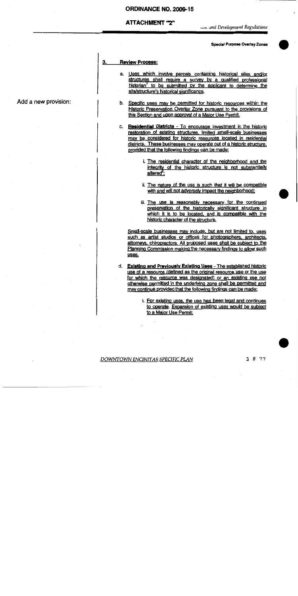### ORDINANCE NO. 2009-15

### **ATTACHMENT "2"**

Lase and Development Regulations

Special Purpose Overlay Zones

### **Review Process:**

3.

- a. Uses which involve parcels containing historical sites and/or structures shall require a survey by a qualified professional historian<sup>1</sup> to be submitted by the applicant to determine the site/structure's historical significance.
- b. Specific uses may be permitted for historic resources within the Historic Preservation Overlay Zone pursuant to the provisions of this Section and upon approval of a Major Use Permit.
- c. Residential Districts To encourage investment in the historic restoration of existing structures, limited small-scale businesses may be considered for historic resources located in residential districts. These businesses may operate out of a historic structure, provided that the following findings can be made:
	- i. The residential character of the neighborhood and the integrity of the historic structure is not substantially altered<sup>2</sup>:
	- ii. The nature of the use is such that it will be compatible with and will not adversely impact the neighborhood;
	- iii. The use is reasonably necessary for the continued preservation of the historically significant structure in which it is to be located, and is compatible with the historic character of the structure.

Small-scale businesses may include, but are not limited to, uses such as artist studios or offices for photographers, architects, attorneys, chiropractors. All proposed uses shall be subject to the Planning Commission making the necessary findings to allow such uses.

- d. Existing and Previously Existing Uses The established historic use of a resource (defined as the original resource use or the use for which the resource was designated) or an existing use not otherwise permitted in the underlying zone shall be permitted and may continue provided that the following findings can be made:
	- i. For existing uses, the use has been legal and continues to operate. Expansion of existing uses would be subject to a Maior Use Permit:

### DOWNTOWN ENCINITAS SPECIFIC PLAN

Add a new provision: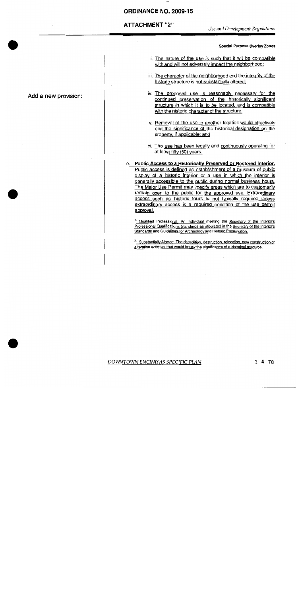### ORDINANCE NO. 2009-15

### **ATTACHMENT "2"**

Jse and Development Regulations

### **Special Purpose Overlay Zones**

- ii. The nature of the use is such that it will be compatible with and will not adversely impact the neighborhood;
- iii. The character of the neighborhood and the integrity of the historic structure is not substantially altered;
- iv. The proposed use is reasonably necessary for the continued preservation of the historically significant structure in which it is to be located, and is compatible with the historic character of the structure.
- v. Removal of the use to another location would effectively end the significance of the historical designation on the property, if applicable; and
- vi. The use has been legally and continuously operating for at least fifty (50) years.

Public Access to a Historically Preserved or Restored Interior. e. Public access is defined as establishment of a museum of public display of a historic interior or a use in which the interior is generally accessible to the public during normal business hours. The Major Use Permit may specify areas which are to customarily remain open to the public for the approved use. Extraordinary access such as historic tours is not typically required unless extraordinary access is a required condition of the use permit approval.

<sup>1</sup> Qualified Professional. An individual meeting the Secretary of the Interior's Professional Qualifications Standards as stipulated in the Secretary of the Interior's Standards and Guidelines for Archeology and Historic Preservation.

<sup>2</sup> Substantially Altered. The demolition, destruction, relocation, new construction or alteration activities that would impair the significance of a historical resource.

Add a new provision:

DOWNTOWN ENCINITAS SPECIFIC PLAN

 $3#78$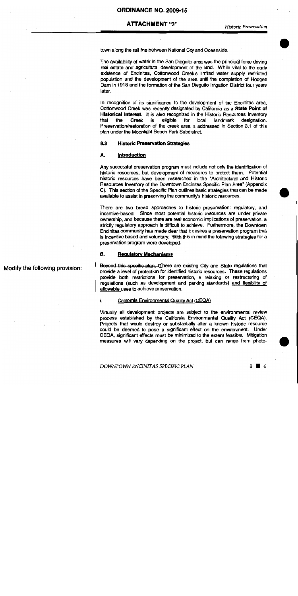### **ATTACHMENT "3"**

**Historic Preservation** 

town along the rail line between National City and Oceanside.

The availability of water in the San Dieguito area was the principal force driving real estate and agricultural development of the land. While vital to the early existence of Encinitas, Cottonwood Creek's limited water supply restricted population and the development of the area until the completion of Hodges Dam in 1918 and the formation of the San Dieguito Irrigation District four years later.

In recognition of its significance to the development of the Encinitas area. Cottonwood Creek was recently designated by California as a State Point of Historical Interest. It is also recognized in the Historic Resources Inventory eligible that the Creek is for local landmark designation. Preservation/restoration of the creek area is addressed in Section 3.1 of this plan under the Moonlight Beach Park Subdistrict.

#### 8.3 **Historic Preservation Strategies**

#### A. **Introduction**

Any successful preservation program must include not only the identification of historic resources, but development of measures to protect them. Potential historic resources have been researched in the "Architectural and Historic Resources Inventory of the Downtown Encinitas Specific Plan Area" (Appendix C). This section of the Specific Plan outlines basic strategies that can be made available to assist in preserving the community's historic resources.

There are two broad approaches to historic preservation: requiatory, and incentive-based. Since most potential historic resources are under private ownership, and because there are real economic implications of preservation, a strictly regulatory approach is difficult to achieve. Furthermore, the Downtown Encinitas community has made clear that it desires a preservation program that is incentive-based and voluntary. With this in mind the following strategies for a preservation program were developed.

#### В. **Regulatory Mechanisms**

Beyond this specific plan, tThere are existing City and State regulations that provide a level of protection for identified historic resources. These regulations provide both restrictions for preservation, a relaxing or restructuring of regulations (such as development and parking standards) and flexibility of allowable uses to achieve preservation.

#### i. California Environmental Quality Act (CEQA)

Virtually all development projects are subject to the environmental review process established by the California Environmental Quality Act (CEQA). Projects that would destroy or substantially alter a known historic resource could be deemed to pose a significant effect on the environment. Under CEQA, significant effects must be minimized to the extent feasible. Mitigation measures will vary depending on the project, but can range from photo-

Modify the following provision: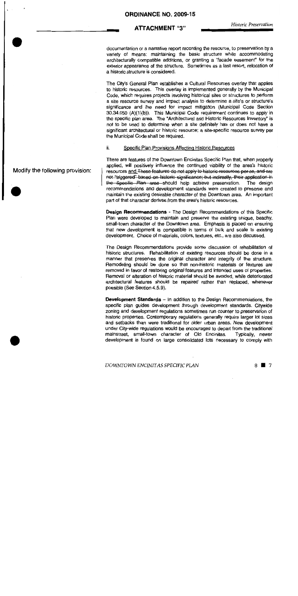### **ATTACHMENT "3"**

Historic Preservation

documentation or a narrative report recording the resource, to preservation by a variety of means: maintaining the basic structure while accommodating architecturally compatible additions, or granting a "facade easement" for the exterior appearance of the structure. Sometimes as a last resort, relocation of a historic structure is considered.

The City's General Plan establishes a Cultural Resources overlay that applies to historic resources. This overlay is implemented generally by the Municipal Code, which requires projects involving historical sites or structures to perform a site resource survey and impact analysis to determine a site's or structure's significance and the need for impact mitigation (Municipal Code Section 30.34.050 (A)(1)(b)). This Municipal Code requirement continues to apply in the specific plan area. The "Architectural and Historic Resources Inventory" is not to be used to determine when a site definitely has or does not have a significant architectural or historic resource; a site-specific resource survey per the Municipal Code shall be required.

Specific Plan Provisions Affecting Historic Resources ij.

There are features of the Downtown Encinitas Specific Plan that, when properly applied, will positively influence the continued viability of the area's historic resources and These features do not apply to historic resources per se, and are not "triggered" based on historic significance; but indirectly, their application in the Specific Plan area should help achieve preservation. The design recommendations and development standards were created to preserve and maintain the existing desirable character of the Downtown area. An important part of that character derives from the area's historic resources.

Design Recommendations - The Design Recommendations of this Specific Plan were developed to maintain and preserve the existing unique, beachy, small-town character of the Downtown area. Emphasis is placed on ensuring that new development is compatible in terms of bulk and scale to existing development. Choice of materials, colors, textures, etc., are also discussed.

The Design Recommendations provide some discussion of rehabilitation of historic structures. Rehabilitation of existing resources should be done in a manner that preserves the original character and integrity of the structure. Remodeling should be done so that non-historic materials or features are removed in favor of restoring original features and intended uses of properties. Removal or alteration of historic material should be avoided, while deteriorated architectural features should be repaired rather than replaced, whenever possible (See Section 4.5.9).

**Development Standards** – in addition to the Design Recommendations, the specific plan guides development through development standards. Citywide zoning and development regulations sometimes run counter to preservation of historic properties. Contemporary regulations generally require larger lot sizes and setbacks than were traditional for older urban areas. New development under City-wide regulations would be encouraged to depart from the traditional mainstreet, small-town character of Old Encinitas. Typically, newer development is found on large consolidated lots necessary to comply with

Modify the following provision: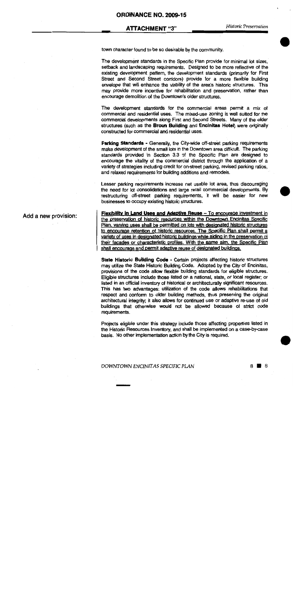### **ATTACHMENT "3"**

**Historic Preservation** 

town character found to be so desirable by the community.

The development standards in the Specific Plan provide for minimal lot sizes, setback and landscaping requirements. Designed to be more reflective of the existing development pattern, the development standards (primarily for First Street and Second Street corridors) provide for a more flexible building envelope that will enhance the viability of the area's historic structures. This may provide more incentive for rehabilitation and preservation, rather than encourage demolition of the Downtown's older structures.

The development standards for the commercial areas permit a mix of commercial and residential uses. The mixed-use zoning is well suited for the commercial developments along First and Second Streets. Many of the older structures (such as the Broun Building and Encinitas Hotel) were originally constructed for commercial and residential uses.

Parking Standards - Generally, the City-wide off-street parking requirements make development of the small lots in the Downtown area difficult. The parking standards provided in Section 3.3 of the Specific Plan are designed to encourage the vitality of the commercial district through the application of a variety of strategies including credit for on-street parking, revised parking ratios, and relaxed requirements for building additions and remodels.

Lesser parking requirements increase net usable lot area, thus discouraging the need for lot consolidations and large retail commercial developments. By restructuring off-street parking requirements, it will be easier for new businesses to occupy existing historic structures.

Flexibility in Land Uses and Adaptive Reuse - To encourage investment in the preservation of historic resources within the Downtown Encinitas Specific Plan, varying uses shall be permitted on lots with designated historic structures to encourage retention of historic resources. The Specific Plan shall permit a variety of uses in designated historic buildings while aiding in the preservation of their facades or characteristic profiles. With the same aim, the Specific Plan shall encourage and permit adaptive reuse of designated buildings.

State Historic Building Code - Certain projects affecting historic structures may utilize the State Historic Building Code. Adopted by the City of Encinitas, provisions of the code allow flexible building standards for eligible structures. Eligible structures include those listed on a national, state, or local register; or listed in an official inventory of historical or architecturally significant resources. This has two advantages: utilization of the code allows rehabilitations that respect and conform to older building methods, thus preserving the original architectural integrity; it also allows for continued use or adaptive re-use of old buildings that otherwise would not be allowed because of strict code requirements.

Projects eligible under this strategy include those affecting properties listed in the Historic Resources Inventory, and shall be implemented on a case-by-case basis. No other implementation action by the City is required.

Add a new provision:

DOWNTOWN ENCINITAS SPECIFIC PLAN

 $R \blacksquare R$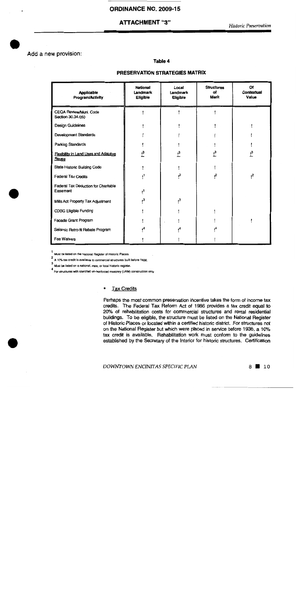### ORDINANCE NO. 2009-15

### **ATTACHMENT "3"**

Add a new provision:

### Table 4

| Applicable<br>Program/Activity                               | <b>National</b><br>Landmark<br>Eligible | Local<br>Landmark<br>Eligible | <b>Structures</b><br>of<br>Merit | Of<br>Contextual<br>Value |
|--------------------------------------------------------------|-----------------------------------------|-------------------------------|----------------------------------|---------------------------|
| CEQA Review/Muni, Code<br>Section 30.34.050                  |                                         |                               |                                  |                           |
| Design Guidelines                                            |                                         |                               |                                  |                           |
| Development Standards                                        |                                         |                               |                                  |                           |
| Parking Standards                                            |                                         |                               |                                  |                           |
| <b>Flexibility in Land Uses and Adaptive</b><br><b>Reuse</b> | ۴3                                      | $\frac{1}{2}$                 | i,                               | i <sub>3</sub>            |
| <b>State Historic Building Code</b>                          |                                         |                               |                                  |                           |
| <b>Federal Tax Credits</b>                                   |                                         | $^{12}$                       | $\mathbf{r}^2$                   | $i^2$                     |
| Federal Tax Deduction for Charitable<br>Easement             | ,1                                      |                               |                                  |                           |
| Mills Act Property Tax Adjustment                            | ,3                                      | $t^3$                         |                                  |                           |
| <b>CDBG Eligible Funding</b>                                 |                                         |                               |                                  |                           |
| Facade Grant Program                                         |                                         |                               |                                  |                           |
| Seismic Retro-fit Rebate Program                             |                                         |                               |                                  |                           |
| <b>Fee Waivers</b>                                           |                                         |                               |                                  |                           |

### PRESERVATION STRATEGIES MATRIX

Must be listed on the National Register of Historic Places.  $\overline{2}$ 

A 10% tax credit is available to commercial structures built before 1936. 3

Must be listed on a national, state, or local historic register.

For structures with identified un-reinforced masonry (URM) construction only

### **Tax Credits**

Perhaps the most common preservation incentive takes the form of income tax credits. The Federal Tax Reform Act of 1986 provides a tax credit equal to 20% of rehabilitation costs for commercial structures and rental residential buildings. To be eligible, the structure must be listed on the National Register of Historic Places or located within a certified historic district. For structures not on the National Register but which were placed in service before 1936, a 10% tax credit is available. Rehabilitation work must conform to the guidelines established by the Secretary of the Interior for historic structures. Certification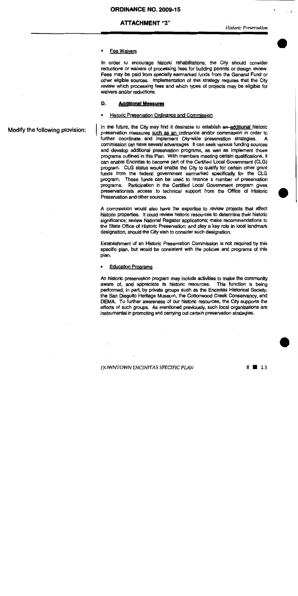ORDINANCE NO. 2009-15

### **ATTACHMENT "3"**

### **Fee Waivers**

In order to encourage historic rehabilitations, the City should consider reductions or waivers of processing fees for building permits or design review. Fees may be paid from specially earmarked funds from the General Fund or other eligible sources. Implementation of this strategy requires that the City review which processing fees and which types of projects may be eligible for waivers and/or reductions.

#### D. **Additional Measures**

### Historic Preservation Ordinance and Commission

In the future, the City may find it desirable to establish an-additional historic preservation measures such as an ordinance and/or commission in order to further coordinate and implement City-wide preservation strategies. A commission can have several advantages. It can seek various funding sources and develop additional preservation programs, as well as implement those programs outlined in this Plan. With members meeting certain qualifications, it can enable Encinitas to become part of the Certified Local Government (CLG) program. CLG status would enable the City to qualify for certain other grant funds from the federal government earmarked specifically for the CLG program. These funds can be used to finance a number of preservation programs. Participation in the Certified Local Government program gives preservationists access to technical support from the Office of Historic Preservation and other sources.

A commission would also have the expertise to review projects that affect historic properties. It could review historic resources to determine their historic significance; review National Register applications; make recommendations to the State Office of Historic Preservation: and play a key role in local landmark designation, should the City wish to consider such designation.

Establishment of an Historic Preservation Commission is not required by this specific plan, but would be consistent with the policies and programs of this plan.

### **Education Programs**

An historic preservation program may include activities to make the community aware of, and appreciate its historic resources. This function is being performed, in part, by private groups such as the Encinitas Historical Society. the San Diequito Heritage Museum, the Cottonwood Creek Conservancy, and DEMA. To further awareness of our historic resources, the City supports the efforts of such groups. As mentioned previously, such local organizations are instrumental in promoting and carrying out certain preservation strategies.

### Modify the following provision:

DOWNTOWN ENCINITAS SPECIFIC PLAN

 $8 \blacksquare$  13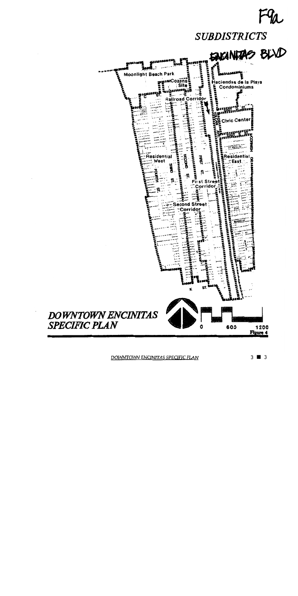

 $3 \square 3$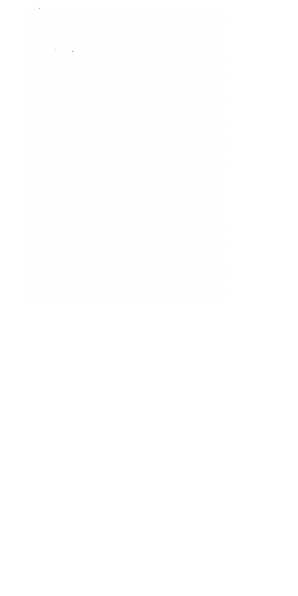$\label{eq:2.1} \frac{1}{\sqrt{2\pi}}\frac{1}{\sqrt{2\pi}}\frac{d\theta}{\sqrt{2\pi}}\,,$  where

 $\label{eq:2.1} \mathcal{L}(\mathcal{L}^{\text{max}}_{\text{max}}(\mathcal{L}^{\text{max}}_{\text{max}})) = \mathcal{L}(\mathcal{L}^{\text{max}}_{\text{max}}(\mathcal{L}^{\text{max}}_{\text{max}}))$ 

 $\label{eq:2.1} \frac{1}{\sqrt{2\pi}}\int_{0}^{\infty}\frac{1}{\sqrt{2\pi}}\left(\frac{1}{\sqrt{2\pi}}\right)^{2\alpha} \frac{1}{\sqrt{2\pi}}\int_{0}^{\infty}\frac{1}{\sqrt{2\pi}}\left(\frac{1}{\sqrt{2\pi}}\right)^{\alpha} \frac{1}{\sqrt{2\pi}}\frac{1}{\sqrt{2\pi}}\int_{0}^{\infty}\frac{1}{\sqrt{2\pi}}\frac{1}{\sqrt{2\pi}}\frac{1}{\sqrt{2\pi}}\frac{1}{\sqrt{2\pi}}\frac{1}{\sqrt{2\pi}}\frac{1}{\sqrt{2\$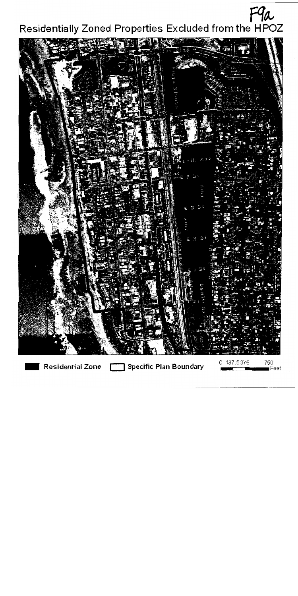# FGa<br>Residentially Zoned Properties Excluded from the HPOZ



**Residential Zone** 

Specific Plan Boundary

750<br>Feet 0 187.5375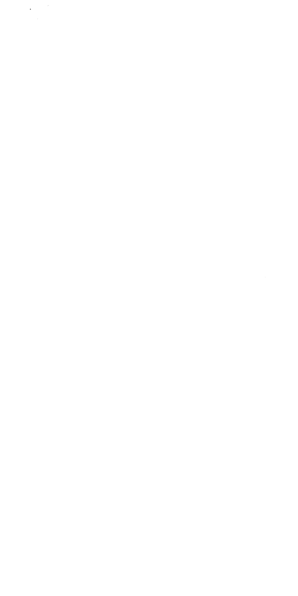$\label{eq:2} \mathcal{L}^{(1)} = \frac{1}{\sqrt{2}} \mathcal{L}^{(1)}$  $\label{eq:2.1} \frac{1}{\sqrt{2}}\int_{\mathbb{R}^3} \frac{1}{\sqrt{2}}\,d\mu\int_{\mathbb{R}^3} \frac{1}{\sqrt{2}}\,d\mu\int_{\mathbb{R}^3} \frac{1}{\sqrt{2}}\,d\mu\int_{\mathbb{R}^3} \frac{1}{\sqrt{2}}\,d\mu\int_{\mathbb{R}^3} \frac{1}{\sqrt{2}}\,d\mu\int_{\mathbb{R}^3} \frac{1}{\sqrt{2}}\,d\mu\int_{\mathbb{R}^3} \frac{1}{\sqrt{2}}\,d\mu\int_{\mathbb{R}^3}$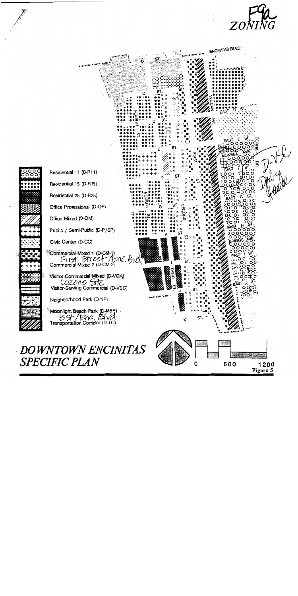

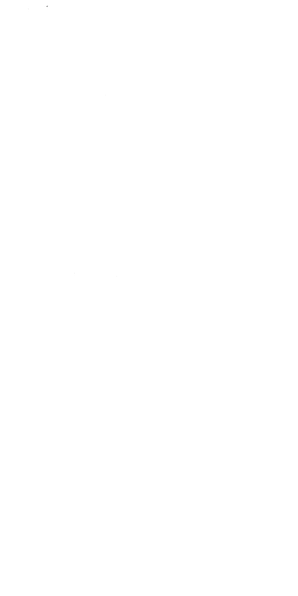$\label{eq:2.1} \frac{1}{\sqrt{2}}\int_{\mathbb{R}^3}\frac{1}{\sqrt{2}}\left(\frac{1}{\sqrt{2}}\right)^2\frac{1}{\sqrt{2}}\left(\frac{1}{\sqrt{2}}\right)^2\frac{1}{\sqrt{2}}\left(\frac{1}{\sqrt{2}}\right)^2\frac{1}{\sqrt{2}}\left(\frac{1}{\sqrt{2}}\right)^2.$ 

 $\label{eq:2.1} \frac{1}{\sqrt{2}}\int_{\mathbb{R}^3}\frac{1}{\sqrt{2}}\left(\frac{1}{\sqrt{2}}\right)^2\left(\frac{1}{\sqrt{2}}\right)^2\left(\frac{1}{\sqrt{2}}\right)^2\left(\frac{1}{\sqrt{2}}\right)^2\left(\frac{1}{\sqrt{2}}\right)^2\left(\frac{1}{\sqrt{2}}\right)^2\left(\frac{1}{\sqrt{2}}\right)^2\left(\frac{1}{\sqrt{2}}\right)^2\left(\frac{1}{\sqrt{2}}\right)^2\left(\frac{1}{\sqrt{2}}\right)^2\left(\frac{1}{\sqrt{2}}\right)^2\left(\frac$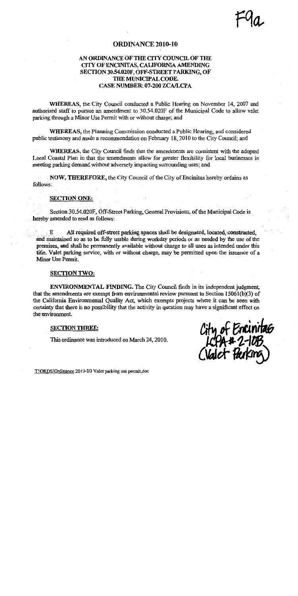### **ORDINANCE 2010-10**

### AN ORDINANCE OF THE CITY COUNCIL OF THE CITY OF ENCINITAS, CALIFORNIA AMENDING SECTION 30.54.020F, OFF-STREET PARKING, OF THE MUNICIPAL CODE. **CASE NUMBER: 07-200 ZCA/LCPA**

**WHEREAS, the City Council conducted a Public Hearing on November 14, 2007 and** authorized staff to pursue an amendment to 30.54.020F of the Municipal Code to allow valet parking through a Minor Use Permit with or without charge; and

**WHEREAS**, the Planning Commission conducted a Public Hearing, and considered public testimony and made a recommendation on February 18, 2010 to the City Council; and

**WHEREAS**, the City Council finds that the amendments are consistent with the adopted Local Coastal Plan in that the amendments allow for greater flexibility for local businesses in meeting parking demand without adversely impacting surrounding uses; and

**NOW, THEREFORE, the City Council of the City of Encinitial hereby ordains as** follows:

### **SECTION ONE:**

Section 30.54.020F, Off-Street Parking, General Provisions, of the Municipal Code is hereby amended to read as follows:

 $\mathbf{F}$ All required off-street parking spaces shall be designated, located, constructed, and maintained so as to be fully usable during workday periods or as needed by the use of the premises, and shall be permanently available without charge to all uses as intended under this title. Valet parking service, with or without charge, may be permitted upon the issuance of a Minor Use Permit.

### **SECTION TWO:**

**ENVIRONMENTAL FINDING.** The City Council finds in its independent judgment, that the amendments are exempt from environmental review pursuant to Section  $15061(b)(3)$  of the California Environmental Quality Act, which exempts projects where it can be seen with certainty that there is no possibility that the activity in question may have a significant effect on the environment.

### **SECTION THREE:**

This ordinance was introduced on March 24, 2010.

ity of Encinitage<br>Tripa # 2-1013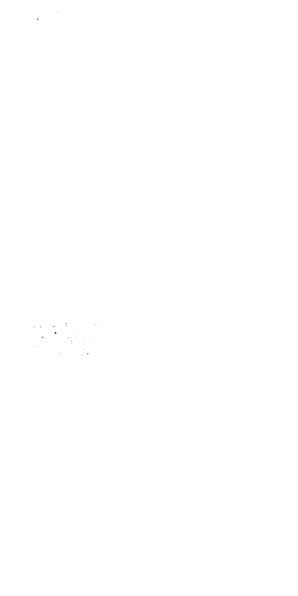$\label{eq:2.1} \frac{1}{\sqrt{2}}\int_{\mathbb{R}^3}\frac{1}{\sqrt{2}}\left(\frac{1}{\sqrt{2}}\right)^2\frac{1}{\sqrt{2}}\left(\frac{1}{\sqrt{2}}\right)^2\frac{1}{\sqrt{2}}\left(\frac{1}{\sqrt{2}}\right)^2\frac{1}{\sqrt{2}}\left(\frac{1}{\sqrt{2}}\right)^2.$ 

 $\begin{split} \mathcal{H}^{2} & = \mathbf{0} \quad \text{and} \quad \mathcal{H}^{2} & = \frac{1}{2} \sum_{\substack{ \text{odd } \mathcal{M}^{2} \\ \text{odd } \mathcal{M}^{2} \\ \text{odd } \mathcal{M}^{2} \\ \text{even } \mathcal{M}^{2} \\ \text{even } \mathcal{M}^{2} \\ \text{even } \mathcal{M}^{2} \\ \text{even } \mathcal{M}^{2} \\ \text{even } \mathcal{M}^{2} \\ \text{even } \mathcal{M}^{2} \\ \text{even } \mathcal{M}^{2} \\ \text{even } \mathcal{M}^{2}$ 

 $\label{eq:2.1} \frac{1}{\sqrt{2}}\left(\frac{1}{\sqrt{2}}\right)^{2} \left(\frac{1}{\sqrt{2}}\right)^{2} \left(\frac{1}{\sqrt{2}}\right)^{2} \left(\frac{1}{\sqrt{2}}\right)^{2} \left(\frac{1}{\sqrt{2}}\right)^{2} \left(\frac{1}{\sqrt{2}}\right)^{2} \left(\frac{1}{\sqrt{2}}\right)^{2} \left(\frac{1}{\sqrt{2}}\right)^{2} \left(\frac{1}{\sqrt{2}}\right)^{2} \left(\frac{1}{\sqrt{2}}\right)^{2} \left(\frac{1}{\sqrt{2}}\right)^{2} \left(\$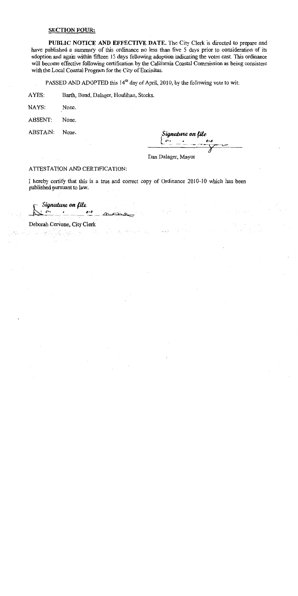### **SECTION FOUR:**

PUBLIC NOTICE AND EFFECTIVE DATE. The City Clerk is directed to prepare and have published a summary of this ordinance no less than five 5 days prior to consideration of its adoption and again within fifteen 15 days following adoption indicating the votes cast. This ordinance will become effective following certification by the California Coastal Commission as being consistent with the Local Coastal Program for the City of Encinitas.

PASSED AND ADOPTED this 14<sup>th</sup> day of April, 2010, by the following vote to wit:

AYES: Barth, Bond, Dalager, Houlihan, Stocks.

NAYS: None.

**ABSENT:** None.

ABSTAIN: None.

| Signature on file |     |  |
|-------------------|-----|--|
|                   | D-0 |  |
|                   |     |  |
|                   |     |  |

Dan Dalager, Mayor

### ATTESTATION AND CERTIFICATION:

I hereby certify that this is a true and correct copy of Ordinance 2010-10 which has been published pursuant to law.

Sianature on lile  $\sim$  $0.0$ 

Deborah Cervone, City Clerk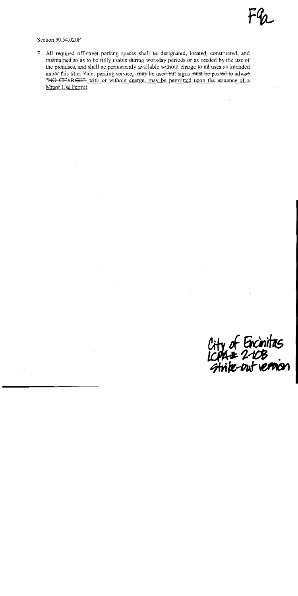Section 30.54.020F

F. All required off-street parking spaces shall be designated, located, constructed, and maintained so as to be fully usable during workday periods or as needed by the use of the premises, and shall be permanently available without charge to all uses as intended under this title. Valet parking service, may be used but signs must be posted to advise "NO CHARGE" with or without charge, may be permitted upon the issuance of a Minor Use Permit.

City of Encinitas<br>ICPA= 210B<br>Strite-out vernon